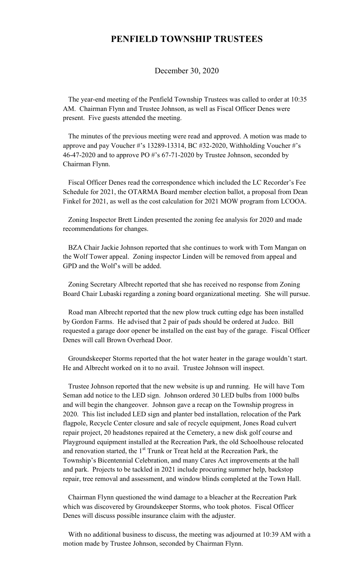## **PENFIELD TOWNSHIP TRUSTEES**

December 30, 2020

 The year-end meeting of the Penfield Township Trustees was called to order at 10:35 AM. Chairman Flynn and Trustee Johnson, as well as Fiscal Officer Denes were present. Five guests attended the meeting.

 The minutes of the previous meeting were read and approved. A motion was made to approve and pay Voucher #'s 13289-13314, BC #32-2020, Withholding Voucher #'s 46-47-2020 and to approve PO #'s 67-71-2020 by Trustee Johnson, seconded by Chairman Flynn.

 Fiscal Officer Denes read the correspondence which included the LC Recorder's Fee Schedule for 2021, the OTARMA Board member election ballot, a proposal from Dean Finkel for 2021, as well as the cost calculation for 2021 MOW program from LCOOA.

 Zoning Inspector Brett Linden presented the zoning fee analysis for 2020 and made recommendations for changes.

 BZA Chair Jackie Johnson reported that she continues to work with Tom Mangan on the Wolf Tower appeal. Zoning inspector Linden will be removed from appeal and GPD and the Wolf's will be added.

 Zoning Secretary Albrecht reported that she has received no response from Zoning Board Chair Lubaski regarding a zoning board organizational meeting. She will pursue.

 Road man Albrecht reported that the new plow truck cutting edge has been installed by Gordon Farms. He advised that 2 pair of pads should be ordered at Judco. Bill requested a garage door opener be installed on the east bay of the garage. Fiscal Officer Denes will call Brown Overhead Door.

 Groundskeeper Storms reported that the hot water heater in the garage wouldn't start. He and Albrecht worked on it to no avail. Trustee Johnson will inspect.

 Trustee Johnson reported that the new website is up and running. He will have Tom Seman add notice to the LED sign. Johnson ordered 30 LED bulbs from 1000 bulbs and will begin the changeover. Johnson gave a recap on the Township progress in 2020. This list included LED sign and planter bed installation, relocation of the Park flagpole, Recycle Center closure and sale of recycle equipment, Jones Road culvert repair project, 20 headstones repaired at the Cemetery, a new disk golf course and Playground equipment installed at the Recreation Park, the old Schoolhouse relocated and renovation started, the  $1<sup>st</sup>$  Trunk or Treat held at the Recreation Park, the Township's Bicentennial Celebration, and many Cares Act improvements at the hall and park. Projects to be tackled in 2021 include procuring summer help, backstop repair, tree removal and assessment, and window blinds completed at the Town Hall.

 Chairman Flynn questioned the wind damage to a bleacher at the Recreation Park which was discovered by Groundskeeper Storms, who took photos. Fiscal Officer Denes will discuss possible insurance claim with the adjuster.

 With no additional business to discuss, the meeting was adjourned at 10:39 AM with a motion made by Trustee Johnson, seconded by Chairman Flynn.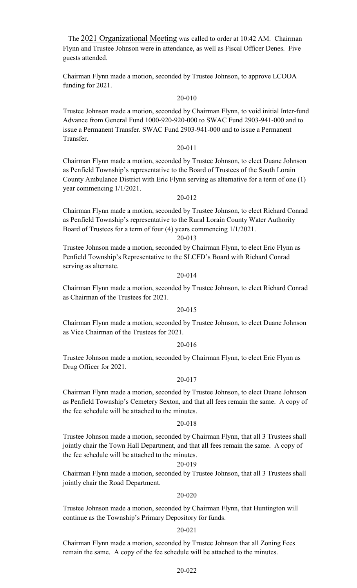The 2021 Organizational Meeting was called to order at 10:42 AM. Chairman Flynn and Trustee Johnson were in attendance, as well as Fiscal Officer Denes. Five guests attended.

Chairman Flynn made a motion, seconded by Trustee Johnson, to approve LCOOA funding for 2021.

## 20-010

Trustee Johnson made a motion, seconded by Chairman Flynn, to void initial Inter-fund Advance from General Fund 1000-920-920-000 to SWAC Fund 2903-941-000 and to issue a Permanent Transfer. SWAC Fund 2903-941-000 and to issue a Permanent Transfer.

## 20-011

Chairman Flynn made a motion, seconded by Trustee Johnson, to elect Duane Johnson as Penfield Township's representative to the Board of Trustees of the South Lorain County Ambulance District with Eric Flynn serving as alternative for a term of one (1) year commencing 1/1/2021.

#### 20-012

Chairman Flynn made a motion, seconded by Trustee Johnson, to elect Richard Conrad as Penfield Township's representative to the Rural Lorain County Water Authority Board of Trustees for a term of four (4) years commencing 1/1/2021.

## 20-013

Trustee Johnson made a motion, seconded by Chairman Flynn, to elect Eric Flynn as Penfield Township's Representative to the SLCFD's Board with Richard Conrad serving as alternate.

## 20-014

Chairman Flynn made a motion, seconded by Trustee Johnson, to elect Richard Conrad as Chairman of the Trustees for 2021.

#### 20-015

Chairman Flynn made a motion, seconded by Trustee Johnson, to elect Duane Johnson as Vice Chairman of the Trustees for 2021.

### 20-016

Trustee Johnson made a motion, seconded by Chairman Flynn, to elect Eric Flynn as Drug Officer for 2021.

## 20-017

Chairman Flynn made a motion, seconded by Trustee Johnson, to elect Duane Johnson as Penfield Township's Cemetery Sexton, and that all fees remain the same. A copy of the fee schedule will be attached to the minutes.

#### 20-018

Trustee Johnson made a motion, seconded by Chairman Flynn, that all 3 Trustees shall jointly chair the Town Hall Department, and that all fees remain the same. A copy of the fee schedule will be attached to the minutes.

#### 20-019

Chairman Flynn made a motion, seconded by Trustee Johnson, that all 3 Trustees shall jointly chair the Road Department.

#### 20-020

Trustee Johnson made a motion, seconded by Chairman Flynn, that Huntington will continue as the Township's Primary Depository for funds.

### 20-021

Chairman Flynn made a motion, seconded by Trustee Johnson that all Zoning Fees remain the same. A copy of the fee schedule will be attached to the minutes.

## 20-022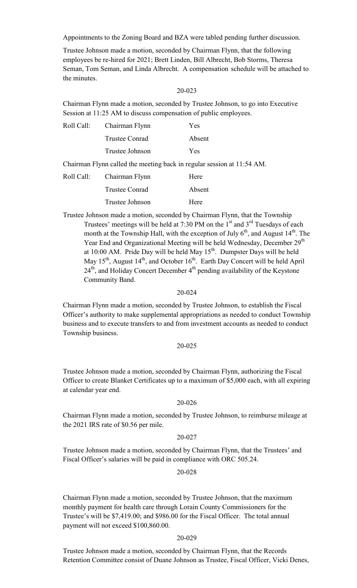Appointments to the Zoning Board and BZA were tabled pending further discussion.

Trustee Johnson made a motion, seconded by Chairman Flynn, that the following employees be re-hired for 2021; Brett Linden, Bill Albrecht, Bob Storms, Theresa Seman, Tom Seman, and Linda Albrecht. A compensation schedule will be attached to the minutes.

## 20-023

Chairman Flynn made a motion, seconded by Trustee Johnson, to go into Executive Session at 11:25 AM to discuss compensation of public employees.

| Roll Call: Chairman Flynn | Yes    |
|---------------------------|--------|
| Trustee Conrad            | Absent |
| Trustee Johnson           | Yes    |

Chairman Flynn called the meeting back in regular session at 11:54 AM.

| Roll Call: | Chairman Flynn  | Here   |
|------------|-----------------|--------|
|            | Trustee Conrad  | Absent |
|            | Trustee Johnson | Here   |

Trustee Johnson made a motion, seconded by Chairman Flynn, that the Township Trustees' meetings will be held at 7:30 PM on the  $1<sup>st</sup>$  and  $3<sup>rd</sup>$  Tuesdays of each month at the Township Hall, with the exception of July  $6<sup>th</sup>$ , and August  $14<sup>th</sup>$ . The Year End and Organizational Meeting will be held Wednesday, December 29<sup>th</sup> at 10:00 AM. Pride Day will be held May  $15<sup>th</sup>$ . Dumpster Days will be held May  $15<sup>th</sup>$ , August  $14<sup>th</sup>$ , and October  $16<sup>th</sup>$ . Earth Day Concert will be held April  $24<sup>th</sup>$ , and Holiday Concert December  $4<sup>th</sup>$  pending availability of the Keystone Community Band.

#### 20-024

Chairman Flynn made a motion, seconded by Trustee Johnson, to establish the Fiscal Officer's authority to make supplemental appropriations as needed to conduct Township business and to execute transfers to and from investment accounts as needed to conduct Township business.

### 20-025

Trustee Johnson made a motion, seconded by Chairman Flynn, authorizing the Fiscal Officer to create Blanket Certificates up to a maximum of \$5,000 each, with all expiring at calendar year end.

#### 20-026

Chairman Flynn made a motion, seconded by Trustee Johnson, to reimburse mileage at the 2021 IRS rate of \$0.56 per mile.

## 20-027

Trustee Johnson made a motion, seconded by Chairman Flynn, that the Trustees' and Fiscal Officer's salaries will be paid in compliance with ORC 505.24.

#### 20-028

Chairman Flynn made a motion, seconded by Trustee Johnson, that the maximum monthly payment for health care through Lorain County Commissioners for the Trustee's will be \$7,419.00; and \$986.00 for the Fiscal Officer. The total annual payment will not exceed \$100,860.00.

#### 20-029

Trustee Johnson made a motion, seconded by Chairman Flynn, that the Records Retention Committee consist of Duane Johnson as Trustee, Fiscal Officer, Vicki Denes,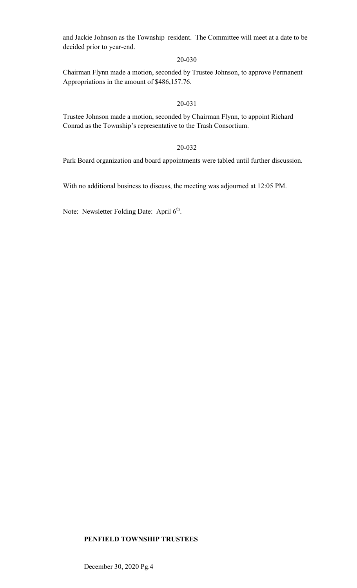and Jackie Johnson as the Township resident. The Committee will meet at a date to be decided prior to year-end.

## 20-030

Chairman Flynn made a motion, seconded by Trustee Johnson, to approve Permanent Appropriations in the amount of \$486,157.76.

## 20-031

Trustee Johnson made a motion, seconded by Chairman Flynn, to appoint Richard Conrad as the Township's representative to the Trash Consortium.

## 20-032

Park Board organization and board appointments were tabled until further discussion.

With no additional business to discuss, the meeting was adjourned at 12:05 PM.

Note: Newsletter Folding Date: April  $6<sup>th</sup>$ .

## **PENFIELD TOWNSHIP TRUSTEES**

December 30, 2020 Pg.4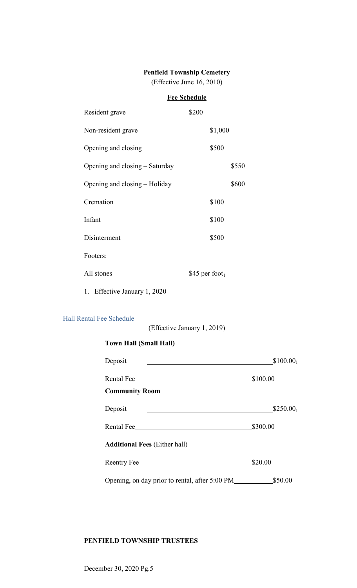## **Penfield Township Cemetery**

(Effective June 16, 2010)

## **Fee Schedule**

| Resident grave                 | \$200 |                    |       |
|--------------------------------|-------|--------------------|-------|
| Non-resident grave             |       | \$1,000            |       |
| Opening and closing            |       | \$500              |       |
| Opening and closing – Saturday |       |                    | \$550 |
| Opening and closing – Holiday  |       |                    | \$600 |
| Cremation                      |       | \$100              |       |
| Infant                         |       | \$100              |       |
| Disinterment                   |       | \$500              |       |
| Footers:                       |       |                    |       |
| All stones                     |       | \$45 per foot $_1$ |       |
|                                |       |                    |       |

1. Effective January 1, 2020

**Town Hall (Small Hall)** 

## Hall Rental Fee Schedule

(Effective January 1, 2019)

| Deposit                                        | \$100.00 <sub>1</sub> |
|------------------------------------------------|-----------------------|
| Rental Fee                                     | \$100.00              |
| <b>Community Room</b>                          |                       |
| Deposit                                        | $$250.00_1$           |
| Rental Fee                                     | \$300.00              |
| <b>Additional Fees (Either hall)</b>           |                       |
| Reentry Fee                                    | \$20.00               |
| Opening, on day prior to rental, after 5:00 PM | \$50.00               |

## **PENFIELD TOWNSHIP TRUSTEES**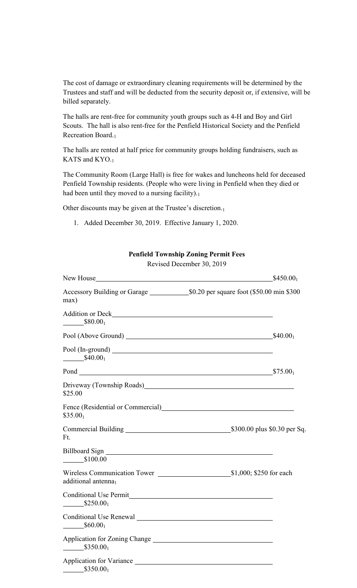The cost of damage or extraordinary cleaning requirements will be determined by the Trustees and staff and will be deducted from the security deposit or, if extensive, will be billed separately.

The halls are rent-free for community youth groups such as 4-H and Boy and Girl Scouts. The hall is also rent-free for the Penfield Historical Society and the Penfield Recreation Board.<sup>1</sup>

The halls are rented at half price for community groups holding fundraisers, such as KATS and KYO.<sup>1</sup>

The Community Room (Large Hall) is free for wakes and luncheons held for deceased Penfield Township residents. (People who were living in Penfield when they died or had been until they moved to a nursing facility).1

Other discounts may be given at the Trustee's discretion.<sub>1</sub>

1. Added December 30, 2019. Effective January 1, 2020.

## **Penfield Township Zoning Permit Fees**

Revised December 30, 2019

| New House<br><u> 1980 - Jan Stein Stein, fransk politik (f. 1980)</u>                                                    | $$450.00_1$ |
|--------------------------------------------------------------------------------------------------------------------------|-------------|
| Accessory Building or Garage 50.20 per square foot (\$50.00 min \$300<br>max)                                            |             |
| $\frac{$80.00_1}{2}$                                                                                                     |             |
|                                                                                                                          |             |
| $$40.00_1$                                                                                                               |             |
|                                                                                                                          | $$75.00_1$  |
| Driveway (Township Roads) Manual Manual Manual Manual Manual Manual Manual Manual Manual Manual Manual Manual<br>\$25.00 |             |
| Fence (Residential or Commercial)<br><u>Fence</u> (Residential or Commercial)<br>$$35.00_1$                              |             |
| Ft.                                                                                                                      |             |
| \$100.00                                                                                                                 |             |
| additional antenna <sub>1</sub>                                                                                          |             |
| Conditional Use Permit Conditional Use Permit<br>$$250.00_1$                                                             |             |
| Conditional Use Renewal Conditional Conditional Use Renewal<br>$\frac{$60.00_1}{ }$                                      |             |
| Application for Zoning Change<br>$$350.00_1$                                                                             |             |
| Application for Variance<br>$\frac{\$350.00_1}{\$350.00_1}$                                                              |             |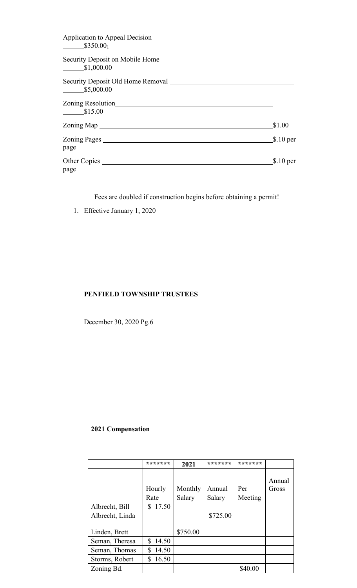| Application to Appeal Decision<br>\$350.00 <sub>1</sub> |            |
|---------------------------------------------------------|------------|
| Security Deposit on Mobile Home<br>\$1,000.00           |            |
| Security Deposit Old Home Removal<br>\$5,000.00         |            |
| Zoning Resolution<br>\$15.00                            |            |
| Zoning Map                                              | \$1.00     |
| Zoning Pages<br>page                                    | $$.10$ per |
| Other Copies<br>page                                    | \$.10~per  |

Fees are doubled if construction begins before obtaining a permit!

1. Effective January 1, 2020

## **PENFIELD TOWNSHIP TRUSTEES**

December 30, 2020 Pg.6

# **2021 Compensation**

|                 | *******     | 2021     | *******  | ******* |                 |
|-----------------|-------------|----------|----------|---------|-----------------|
|                 | Hourly      | Monthly  | Annual   | Per     | Annual<br>Gross |
|                 | Rate        | Salary   | Salary   | Meeting |                 |
| Albrecht, Bill  | 17.50<br>S  |          |          |         |                 |
| Albrecht, Linda |             |          | \$725.00 |         |                 |
| Linden, Brett   |             | \$750.00 |          |         |                 |
| Seman, Theresa  | \$<br>14.50 |          |          |         |                 |
| Seman, Thomas   | 14.50<br>S  |          |          |         |                 |
| Storms, Robert  | 16.50<br>S  |          |          |         |                 |
| Zoning Bd.      |             |          |          | \$40.00 |                 |